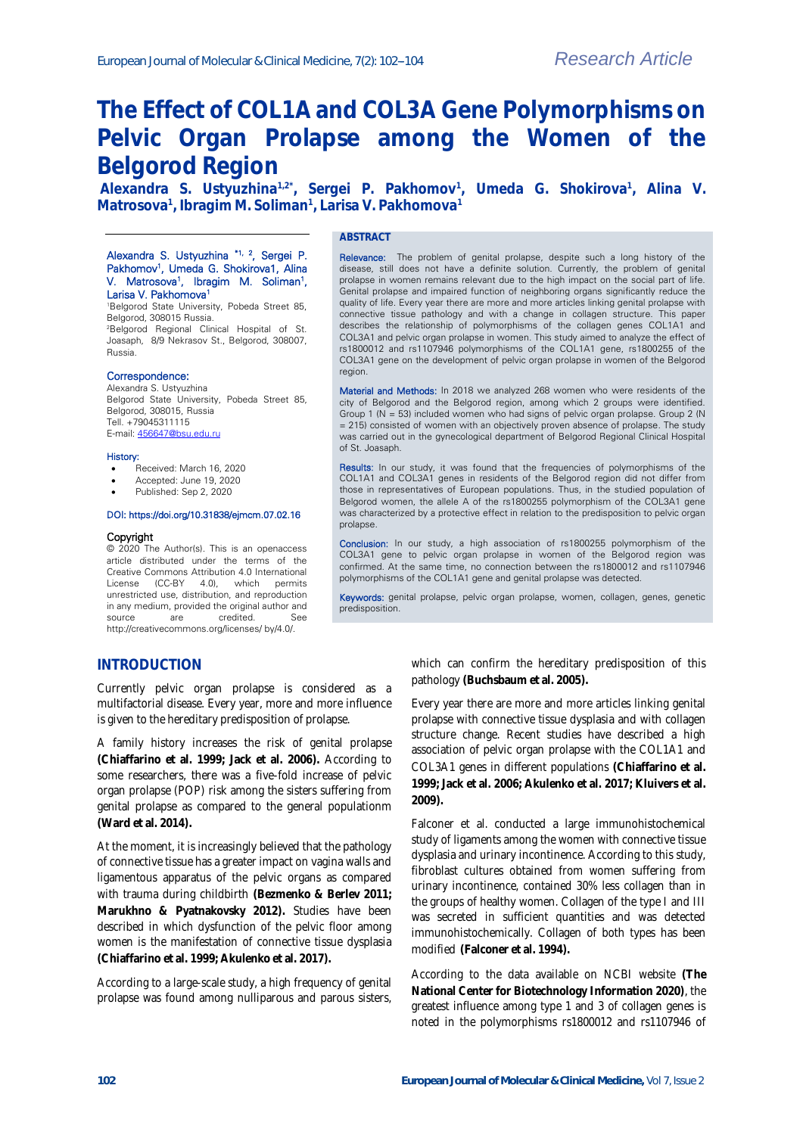# **The Effect of COL1A and COL3A Gene Polymorphisms on Pelvic Organ Prolapse among the Women of the Belgorod Region**

**Alexandra S. Ustyuzhina1,2\* , Sergei P. Pakhomov<sup>1</sup> , Umeda G. Shokirova<sup>1</sup> , Alina V. Matrosova<sup>1</sup> , Ibragim M. Soliman<sup>1</sup> , Larisa V. Pakhomova<sup>1</sup>**

### Alexandra S. Ustyuzhina \*1, 2, Sergei P. Pakhomov<sup>1</sup>, Umeda G. Shokirova1, Alina V. Matrosova<sup>1</sup>, Ibragim M. Soliman<sup>1</sup>, Larisa V. Pakhomova<sup>1</sup>

<sup>1</sup>Belgorod State University, Pobeda Street 85, Belgorod, 308015 Russia. <sup>2</sup>Belgorod Regional Clinical Hospital of St.

Joasaph, 8/9 Nekrasov St., Belgorod, 308007, Russia.

## Correspondence:

Alexandra S. Ustyuzhina Belgorod State University, Pobeda Street 85, Belgorod, 308015, Russia Tell. +79045311115 E-mail[: 456647@bsu.edu.ru](mailto:456647@bsu.edu.ru)

#### History:

- Received: March 16, 2020
- Accepted: June 19, 2020
- Published: Sep 2, 2020

#### DOI: https://doi.org/10.31838/ejmcm.07.02.16

#### **Copyright**

© 2020 The Author(s). This is an openaccess article distributed under the terms of the Creative Commons Attribution 4.0 International License (CC-BY 4.0), which permits unrestricted use, distribution, and reproduction in any medium, provided the original author and source are credited. http://creativecommons.org/licenses/ by/4.0/.

### **ABSTRACT**

Relevance: The problem of genital prolapse, despite such a long history of the disease, still does not have a definite solution. Currently, the problem of genital prolapse in women remains relevant due to the high impact on the social part of life. Genital prolapse and impaired function of neighboring organs significantly reduce the quality of life. Every year there are more and more articles linking genital prolapse with connective tissue pathology and with a change in collagen structure. This paper describes the relationship of polymorphisms of the collagen genes COL1A1 and COL3A1 and pelvic organ prolapse in women. This study aimed to analyze the effect of rs1800012 and rs1107946 polymorphisms of the COL1A1 gene, rs1800255 of the COL3A1 gene on the development of pelvic organ prolapse in women of the Belgorod region.

Material and Methods: In 2018 we analyzed 268 women who were residents of the city of Belgorod and the Belgorod region, among which 2 groups were identified. Group 1 (N = 53) included women who had signs of pelvic organ prolapse. Group 2 (N = 215) consisted of women with an objectively proven absence of prolapse. The study was carried out in the gynecological department of Belgorod Regional Clinical Hospital of St. Joasaph.

Results: In our study, it was found that the frequencies of polymorphisms of the COL1A1 and COL3A1 genes in residents of the Belgorod region did not differ from those in representatives of European populations. Thus, in the studied population of Belgorod women, the allele A of the rs1800255 polymorphism of the COL3A1 gene was characterized by a protective effect in relation to the predisposition to pelvic organ prolapse.

Conclusion: In our study, a high association of rs1800255 polymorphism of the COL3A1 gene to pelvic organ prolapse in women of the Belgorod region was confirmed. At the same time, no connection between the rs1800012 and rs1107946 polymorphisms of the COL1A1 gene and genital prolapse was detected.

Keywords: genital prolapse, pelvic organ prolapse, women, collagen, genes, genetic predisposition.

## **INTRODUCTION**

Currently pelvic organ prolapse is considered as a multifactorial disease. Every year, more and more influence is given to the hereditary predisposition of prolapse.

A family history increases the risk of genital prolapse **(Chiaffarino et al. 1999; Jack et al. 2006).** According to some researchers, there was a five-fold increase of pelvic organ prolapse (POP) risk among the sisters suffering from genital prolapse as compared to the general populationm **(Ward et al. 2014).**

At the moment, it is increasingly believed that the pathology of connective tissue has a greater impact on vagina walls and ligamentous apparatus of the pelvic organs as compared with trauma during childbirth **(Bezmenko & Berlev 2011; Marukhno & Pyatnakovsky 2012).** Studies have been described in which dysfunction of the pelvic floor among women is the manifestation of connective tissue dysplasia **(Chiaffarino et al. 1999; Akulenko et al. 2017).**

According to a large-scale study, a high frequency of genital prolapse was found among nulliparous and parous sisters, which can confirm the hereditary predisposition of this pathology **(Buchsbaum et al. 2005).**

Every year there are more and more articles linking genital prolapse with connective tissue dysplasia and with collagen structure change. Recent studies have described a high association of pelvic organ prolapse with the COL1A1 and COL3A1 genes in different populations **(Chiaffarino et al. 1999; Jack et al. 2006; Akulenko et al. 2017; Kluivers et al. 2009).**

Falconer et al. conducted a large immunohistochemical study of ligaments among the women with connective tissue dysplasia and urinary incontinence. According to this study, fibroblast cultures obtained from women suffering from urinary incontinence, contained 30% less collagen than in the groups of healthy women. Collagen of the type I and III was secreted in sufficient quantities and was detected immunohistochemically. Collagen of both types has been modified **(Falconer et al. 1994).**

According to the data available on NCBI website **(The National Center for Biotechnology Information 2020)**, the greatest influence among type 1 and 3 of collagen genes is noted in the polymorphisms rs1800012 and rs1107946 of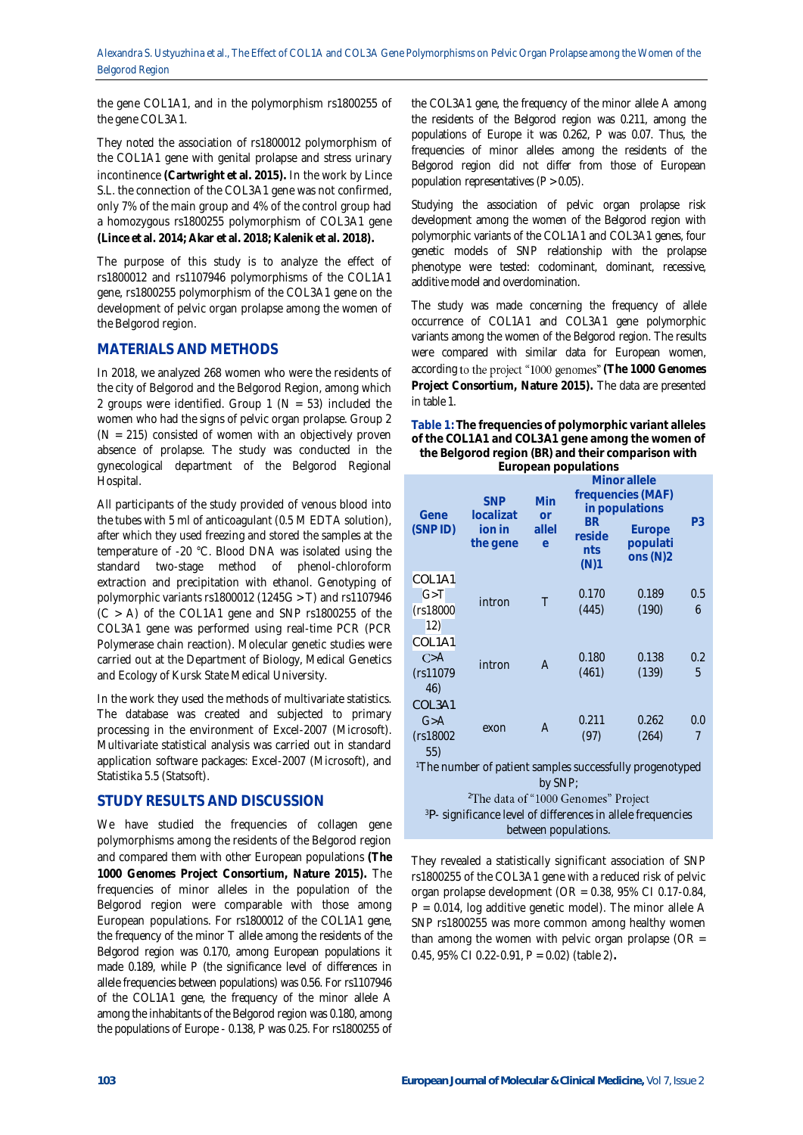the gene COL1A1, and in the polymorphism rs1800255 of the gene COL3A1.

They noted the association of rs1800012 polymorphism of the COL1A1 gene with genital prolapse and stress urinary incontinence **(Cartwright et al. 2015).** In the work by Lince S.L. the connection of the COL3A1 gene was not confirmed, only 7% of the main group and 4% of the control group had a homozygous rs1800255 polymorphism of COL3A1 gene **(Lince et al. 2014; Akar et al. 2018; Kalenik et al. 2018).**

The purpose of this study is to analyze the effect of rs1800012 and rs1107946 polymorphisms of the COL1A1 gene, rs1800255 polymorphism of the COL3A1 gene on the development of pelvic organ prolapse among the women of the Belgorod region.

## **MATERIALS AND METHODS**

In 2018, we analyzed 268 women who were the residents of the city of Belgorod and the Belgorod Region, among which 2 groups were identified. Group 1 ( $N = 53$ ) included the women who had the signs of pelvic organ prolapse. Group 2  $(N = 215)$  consisted of women with an objectively proven absence of prolapse. The study was conducted in the gynecological department of the Belgorod Regional Hospital.

All participants of the study provided of venous blood into the tubes with 5 ml of anticoagulant (0.5 M EDTA solution), after which they used freezing and stored the samples at the temperature of -20 °C. Blood DNA was isolated using the standard two-stage method of phenol-chloroform extraction and precipitation with ethanol. Genotyping of polymorphic variants rs1800012 (1245G > T) and rs1107946  $(C > A)$  of the COL1A1 gene and SNP rs1800255 of the COL3A1 gene was performed using real-time PCR (PCR Polymerase chain reaction). Molecular genetic studies were carried out at the Department of Biology, Medical Genetics and Ecology of Kursk State Medical University.

In the work they used the methods of multivariate statistics. The database was created and subjected to primary processing in the environment of Excel-2007 (Microsoft). Multivariate statistical analysis was carried out in standard application software packages: Excel-2007 (Microsoft), and Statistika 5.5 (Statsoft).

# **STUDY RESULTS AND DISCUSSION**

We have studied the frequencies of collagen gene polymorphisms among the residents of the Belgorod region and compared them with other European populations **(The 1000 Genomes Project Consortium, Nature 2015).** The frequencies of minor alleles in the population of the Belgorod region were comparable with those among European populations. For rs1800012 of the COL1A1 gene, the frequency of the minor T allele among the residents of the Belgorod region was 0.170, among European populations it made 0.189, while P (the significance level of differences in allele frequencies between populations) was 0.56. For rs1107946 of the COL1A1 gene, the frequency of the minor allele A among the inhabitants of the Belgorod region was 0.180, among the populations of Europe - 0.138, P was 0.25. For rs1800255 of

the COL3A1 gene, the frequency of the minor allele A among the residents of the Belgorod region was 0.211, among the populations of Europe it was 0.262, P was 0.07. Thus, the frequencies of minor alleles among the residents of the Belgorod region did not differ from those of European population representatives  $(P > 0.05)$ .

Studying the association of pelvic organ prolapse risk development among the women of the Belgorod region with polymorphic variants of the COL1A1 and COL3A1 genes, four genetic models of SNP relationship with the prolapse phenotype were tested: codominant, dominant, recessive, additive model and overdomination.

The study was made concerning the frequency of allele occurrence of COL1A1 and COL3A1 gene polymorphic variants among the women of the Belgorod region. The results were compared with similar data for European women, according to the project "1000 genomes" (The 1000 Genomes **Project Consortium, Nature 2015).** The data are presented in table 1.

**Table 1: The frequencies of polymorphic variant alleles of the COL1A1 and COL3A1 gene among the women of the Belgorod region (BR) and their comparison with** 

|  |  | European populations |
|--|--|----------------------|
|--|--|----------------------|

| Gene<br>(SNPID)                                                         | <b>SNP</b><br>localizat<br>ion in<br>the gene | Min<br><b>or</b><br>allel<br>$\Theta$ | <b>BR</b><br>reside<br>nts<br>(N)1 | Minor allele<br>frequencies (MAF)<br>in populations<br>Europe<br>populati<br>ons $(N)2$ | P3       |  |  |
|-------------------------------------------------------------------------|-----------------------------------------------|---------------------------------------|------------------------------------|-----------------------------------------------------------------------------------------|----------|--|--|
| COL <sub>1</sub> A <sub>1</sub><br>G > T<br>(rs18000<br>12)             | intron                                        | Τ                                     | 0.170<br>(445)                     | 0.189<br>(190)                                                                          | 0.5<br>6 |  |  |
| COL <sub>1</sub> A <sub>1</sub><br>C > A<br>(rs11079<br>46)             | intron                                        | $\overline{A}$                        | 0.180<br>(461)                     | 0.138<br>(139)                                                                          | 0.2<br>5 |  |  |
| COL3A1<br>G > A<br>(rs18002<br>55)                                      | exon                                          | A                                     | 0.211<br>(97)                      | 0.262<br>(264)                                                                          | 0.0<br>7 |  |  |
| <sup>1</sup> The number of patient samples successfully progenotyped    |                                               |                                       |                                    |                                                                                         |          |  |  |
| by SNP;<br><sup>2</sup> The data of "1000 Genomes" Project              |                                               |                                       |                                    |                                                                                         |          |  |  |
| <sup>3</sup> P- significance level of differences in allele frequencies |                                               |                                       |                                    |                                                                                         |          |  |  |
| between populations.                                                    |                                               |                                       |                                    |                                                                                         |          |  |  |

They revealed a statistically significant association of SNP rs1800255 of the COL3A1 gene with a reduced risk of pelvic organ prolapse development (OR = 0.38, 95% CI 0.17-0.84,  $P = 0.014$ , log additive genetic model). The minor allele A SNP rs1800255 was more common among healthy women than among the women with pelvic organ prolapse (OR  $=$ 0.45, 95% CI 0.22-0.91, P = 0.02) (table 2)**.**